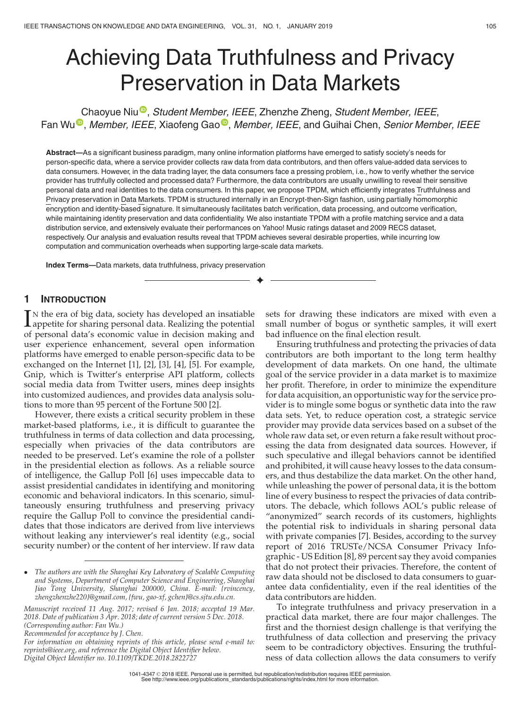# Achieving Data Truthfulness and Privacy Preservation in Data Markets

Chaoyue Niu<sup>®</sup>, Student Member, IEEE, Zhenzhe Zheng, Student Member, IEEE, Fan Wu<sup>®</sup>, Member, IEEE, Xia[o](https://orcid.org/0000-0003-1776-8799)feng Gao®[,](https://orcid.org/0000-0003-1776-8799) Member, IEEE, and Guihai Chen, Senior Member, IEEE

Abstract—As a significant business paradigm, many online information platforms have emerged to satisfy society's needs for person-specific data, where a service provider collects raw data from data contributors, and then offers value-added data services to data consumers. However, in the data trading layer, the data consumers face a pressing problem, i.e., how to verify whether the service provider has truthfully collected and processed data? Furthermore, the data contributors are usually unwilling to reveal their sensitive personal data and real identities to the data consumers. In this paper, we propose TPDM, which efficiently integrates Truthfulness and Privacy preservation in Data Markets. TPDM is structured internally in an Encrypt-then-Sign fashion, using partially homomorphic encryption and identity-based signature. It simultaneously facilitates batch verification, data processing, and outcome verification, while maintaining identity preservation and data confidentiality. We also instantiate TPDM with a profile matching service and a data distribution service, and extensively evaluate their performances on Yahoo! Music ratings dataset and 2009 RECS dataset, respectively. Our analysis and evaluation results reveal that TPDM achieves several desirable properties, while incurring low computation and communication overheads when supporting large-scale data markets.

 $\bigstar$ 

Index Terms—Data markets, data truthfulness, privacy preservation

## 1 INTRODUCTION

IN the era of big data, society has developed an insatiable<br>appetite for sharing personal data. Realizing the potential<br>of personal data's accommis value in desision making and appetite for sharing personal data. Realizing the potential of personal data's economic value in decision making and user experience enhancement, several open information platforms have emerged to enable person-specific data to be exchanged on the Internet [1], [2], [3], [4], [5]. For example, Gnip, which is Twitter's enterprise API platform, collects social media data from Twitter users, mines deep insights into customized audiences, and provides data analysis solutions to more than 95 percent of the Fortune 500 [2].

However, there exists a critical security problem in these market-based platforms, i.e., it is difficult to guarantee the truthfulness in terms of data collection and data processing, especially when privacies of the data contributors are needed to be preserved. Let's examine the role of a pollster in the presidential election as follows. As a reliable source of intelligence, the Gallup Poll [6] uses impeccable data to assist presidential candidates in identifying and monitoring economic and behavioral indicators. In this scenario, simultaneously ensuring truthfulness and preserving privacy require the Gallup Poll to convince the presidential candidates that those indicators are derived from live interviews without leaking any interviewer's real identity (e.g., social security number) or the content of her interview. If raw data sets for drawing these indicators are mixed with even a small number of bogus or synthetic samples, it will exert bad influence on the final election result.

Ensuring truthfulness and protecting the privacies of data contributors are both important to the long term healthy development of data markets. On one hand, the ultimate goal of the service provider in a data market is to maximize her profit. Therefore, in order to minimize the expenditure for data acquisition, an opportunistic way for the service provider is to mingle some bogus or synthetic data into the raw data sets. Yet, to reduce operation cost, a strategic service provider may provide data services based on a subset of the whole raw data set, or even return a fake result without processing the data from designated data sources. However, if such speculative and illegal behaviors cannot be identified and prohibited, it will cause heavy losses to the data consumers, and thus destabilize the data market. On the other hand, while unleashing the power of personal data, it is the bottom line of every business to respect the privacies of data contributors. The debacle, which follows AOL's public release of "anonymized" search records of its customers, highlights the potential risk to individuals in sharing personal data with private companies [7]. Besides, according to the survey report of 2016 TRUSTe/NCSA Consumer Privacy Infographic - US Edition [8], 89 percent say they avoid companies that do not protect their privacies. Therefore, the content of raw data should not be disclosed to data consumers to guarantee data confidentiality, even if the real identities of the data contributors are hidden.

To integrate truthfulness and privacy preservation in a practical data market, there are four major challenges. The first and the thorniest design challenge is that verifying the truthfulness of data collection and preserving the privacy seem to be contradictory objectives. Ensuring the truthfulness of data collection allows the data consumers to verify

<sup>•</sup> The authors are with the Shanghai Key Laboratory of Scalable Computing and Systems, Department of Computer Science and Engineering, Shanghai Jiao Tong University, Shanghai 200000, China. E-mail: {[rvincency,](mailto:) [zhengzhenzhe220}@gmail.com](mailto:), {[fwu, gao-xf, gchen}@cs.sjtu.edu.cn.](mailto:)

Manuscript received 11 Aug. 2017; revised 6 Jan. 2018; accepted 19 Mar. 2018. Date of publication 3 Apr. 2018; date of current version 5 Dec. 2018. (Corresponding author: Fan Wu.)

Recommended for acceptance by J. Chen.

For information on obtaining reprints of this article, please send e-mail to: reprints@ieee.org, and reference the Digital Object Identifier below. Digital Object Identifier no. 10.1109/TKDE.2018.2822727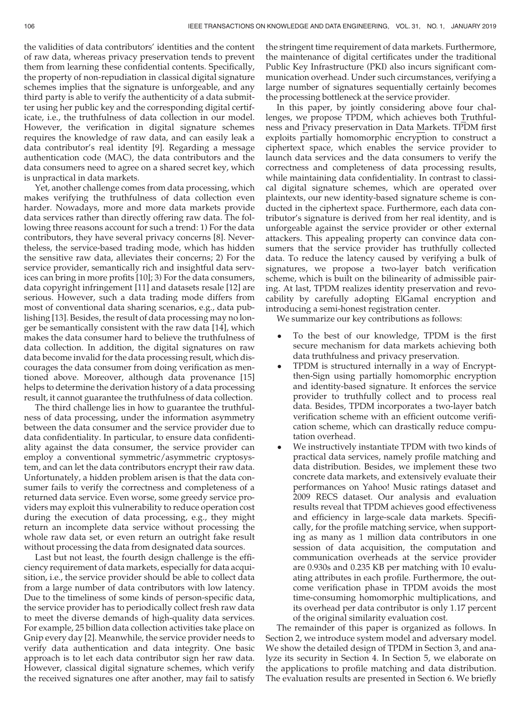the validities of data contributors' identities and the content of raw data, whereas privacy preservation tends to prevent them from learning these confidential contents. Specifically, the property of non-repudiation in classical digital signature schemes implies that the signature is unforgeable, and any third party is able to verify the authenticity of a data submitter using her public key and the corresponding digital certificate, i.e., the truthfulness of data collection in our model. However, the verification in digital signature schemes requires the knowledge of raw data, and can easily leak a data contributor's real identity [9]. Regarding a message authentication code (MAC), the data contributors and the data consumers need to agree on a shared secret key, which is unpractical in data markets.

Yet, another challenge comes from data processing, which makes verifying the truthfulness of data collection even harder. Nowadays, more and more data markets provide data services rather than directly offering raw data. The following three reasons account for such a trend: 1) For the data contributors, they have several privacy concerns [8]. Nevertheless, the service-based trading mode, which has hidden the sensitive raw data, alleviates their concerns; 2) For the service provider, semantically rich and insightful data services can bring in more profits [10]; 3) For the data consumers, data copyright infringement [11] and datasets resale [12] are serious. However, such a data trading mode differs from most of conventional data sharing scenarios, e.g., data publishing [13]. Besides, the result of data processing may no longer be semantically consistent with the raw data [14], which makes the data consumer hard to believe the truthfulness of data collection. In addition, the digital signatures on raw data become invalid for the data processing result, which discourages the data consumer from doing verification as mentioned above. Moreover, although data provenance [15] helps to determine the derivation history of a data processing result, it cannot guarantee the truthfulness of data collection.

The third challenge lies in how to guarantee the truthfulness of data processing, under the information asymmetry between the data consumer and the service provider due to data confidentiality. In particular, to ensure data confidentiality against the data consumer, the service provider can employ a conventional symmetric/asymmetric cryptosystem, and can let the data contributors encrypt their raw data. Unfortunately, a hidden problem arisen is that the data consumer fails to verify the correctness and completeness of a returned data service. Even worse, some greedy service providers may exploit this vulnerability to reduce operation cost during the execution of data processing, e.g., they might return an incomplete data service without processing the whole raw data set, or even return an outright fake result without processing the data from designated data sources.

Last but not least, the fourth design challenge is the efficiency requirement of data markets, especially for data acquisition, i.e., the service provider should be able to collect data from a large number of data contributors with low latency. Due to the timeliness of some kinds of person-specific data, the service provider has to periodically collect fresh raw data to meet the diverse demands of high-quality data services. For example, 25 billion data collection activities take place on Gnip every day [2]. Meanwhile, the service provider needs to verify data authentication and data integrity. One basic approach is to let each data contributor sign her raw data. However, classical digital signature schemes, which verify the received signatures one after another, may fail to satisfy the stringent time requirement of data markets. Furthermore, the maintenance of digital certificates under the traditional Public Key Infrastructure (PKI) also incurs significant communication overhead. Under such circumstances, verifying a large number of signatures sequentially certainly becomes the processing bottleneck at the service provider.

In this paper, by jointly considering above four challenges, we propose TPDM, which achieves both Truthfulness and Privacy preservation in Data Markets. TPDM first exploits partially homomorphic encryption to construct a ciphertext space, which enables the service provider to launch data services and the data consumers to verify the correctness and completeness of data processing results, while maintaining data confidentiality. In contrast to classical digital signature schemes, which are operated over plaintexts, our new identity-based signature scheme is conducted in the ciphertext space. Furthermore, each data contributor's signature is derived from her real identity, and is unforgeable against the service provider or other external attackers. This appealing property can convince data consumers that the service provider has truthfully collected data. To reduce the latency caused by verifying a bulk of signatures, we propose a two-layer batch verification scheme, which is built on the bilinearity of admissible pairing. At last, TPDM realizes identity preservation and revocability by carefully adopting ElGamal encryption and introducing a semi-honest registration center.

We summarize our key contributions as follows:

- To the best of our knowledge, TPDM is the first secure mechanism for data markets achieving both data truthfulness and privacy preservation.
- TPDM is structured internally in a way of Encryptthen-Sign using partially homomorphic encryption and identity-based signature. It enforces the service provider to truthfully collect and to process real data. Besides, TPDM incorporates a two-layer batch verification scheme with an efficient outcome verification scheme, which can drastically reduce computation overhead.
- We instructively instantiate TPDM with two kinds of practical data services, namely profile matching and data distribution. Besides, we implement these two concrete data markets, and extensively evaluate their performances on Yahoo! Music ratings dataset and 2009 RECS dataset. Our analysis and evaluation results reveal that TPDM achieves good effectiveness and efficiency in large-scale data markets. Specifically, for the profile matching service, when supporting as many as 1 million data contributors in one session of data acquisition, the computation and communication overheads at the service provider are 0.930s and 0.235 KB per matching with 10 evaluating attributes in each profile. Furthermore, the outcome verification phase in TPDM avoids the most time-consuming homomorphic multiplications, and its overhead per data contributor is only 1.17 percent of the original similarity evaluation cost.

The remainder of this paper is organized as follows. In Section 2, we introduce system model and adversary model. We show the detailed design of TPDM in Section 3, and analyze its security in Section 4. In Section 5, we elaborate on the applications to profile matching and data distribution. The evaluation results are presented in Section 6. We briefly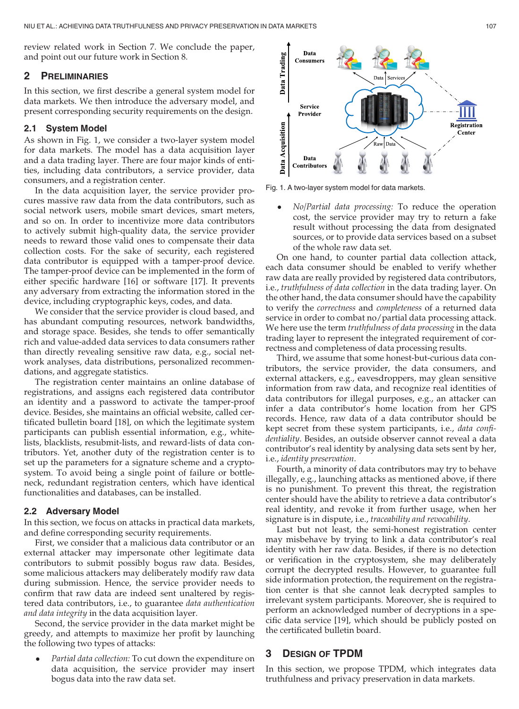review related work in Section 7. We conclude the paper, and point out our future work in Section 8.

## 2 PRELIMINARIES

In this section, we first describe a general system model for data markets. We then introduce the adversary model, and present corresponding security requirements on the design.

## 2.1 System Model

As shown in Fig. 1, we consider a two-layer system model for data markets. The model has a data acquisition layer and a data trading layer. There are four major kinds of entities, including data contributors, a service provider, data consumers, and a registration center.

In the data acquisition layer, the service provider procures massive raw data from the data contributors, such as social network users, mobile smart devices, smart meters, and so on. In order to incentivize more data contributors to actively submit high-quality data, the service provider needs to reward those valid ones to compensate their data collection costs. For the sake of security, each registered data contributor is equipped with a tamper-proof device. The tamper-proof device can be implemented in the form of either specific hardware [16] or software [17]. It prevents any adversary from extracting the information stored in the device, including cryptographic keys, codes, and data.

We consider that the service provider is cloud based, and has abundant computing resources, network bandwidths, and storage space. Besides, she tends to offer semantically rich and value-added data services to data consumers rather than directly revealing sensitive raw data, e.g., social network analyses, data distributions, personalized recommendations, and aggregate statistics.

The registration center maintains an online database of registrations, and assigns each registered data contributor an identity and a password to activate the tamper-proof device. Besides, she maintains an official website, called certificated bulletin board [18], on which the legitimate system participants can publish essential information, e.g., whitelists, blacklists, resubmit-lists, and reward-lists of data contributors. Yet, another duty of the registration center is to set up the parameters for a signature scheme and a cryptosystem. To avoid being a single point of failure or bottleneck, redundant registration centers, which have identical functionalities and databases, can be installed.

## 2.2 Adversary Model

In this section, we focus on attacks in practical data markets, and define corresponding security requirements.

First, we consider that a malicious data contributor or an external attacker may impersonate other legitimate data contributors to submit possibly bogus raw data. Besides, some malicious attackers may deliberately modify raw data during submission. Hence, the service provider needs to confirm that raw data are indeed sent unaltered by registered data contributors, i.e., to guarantee data authentication and data integrity in the data acquisition layer.

Second, the service provider in the data market might be greedy, and attempts to maximize her profit by launching the following two types of attacks:

 Partial data collection: To cut down the expenditure on data acquisition, the service provider may insert bogus data into the raw data set.



Fig. 1. A two-layer system model for data markets.

 No/Partial data processing: To reduce the operation cost, the service provider may try to return a fake result without processing the data from designated sources, or to provide data services based on a subset of the whole raw data set.

On one hand, to counter partial data collection attack, each data consumer should be enabled to verify whether raw data are really provided by registered data contributors, i.e., truthfulness of data collection in the data trading layer. On the other hand, the data consumer should have the capability to verify the correctness and completeness of a returned data service in order to combat no/partial data processing attack. We here use the term truthfulness of data processing in the data trading layer to represent the integrated requirement of correctness and completeness of data processing results.

Third, we assume that some honest-but-curious data contributors, the service provider, the data consumers, and external attackers, e.g., eavesdroppers, may glean sensitive information from raw data, and recognize real identities of data contributors for illegal purposes, e.g., an attacker can infer a data contributor's home location from her GPS records. Hence, raw data of a data contributor should be kept secret from these system participants, i.e., data confidentiality. Besides, an outside observer cannot reveal a data contributor's real identity by analysing data sets sent by her, i.e., identity preservation.

Fourth, a minority of data contributors may try to behave illegally, e.g., launching attacks as mentioned above, if there is no punishment. To prevent this threat, the registration center should have the ability to retrieve a data contributor's real identity, and revoke it from further usage, when her signature is in dispute, i.e., traceability and revocability.

Last but not least, the semi-honest registration center may misbehave by trying to link a data contributor's real identity with her raw data. Besides, if there is no detection or verification in the cryptosystem, she may deliberately corrupt the decrypted results. However, to guarantee full side information protection, the requirement on the registration center is that she cannot leak decrypted samples to irrelevant system participants. Moreover, she is required to perform an acknowledged number of decryptions in a specific data service [19], which should be publicly posted on the certificated bulletin board.

## 3 DESIGN OF TPDM

In this section, we propose TPDM, which integrates data truthfulness and privacy preservation in data markets.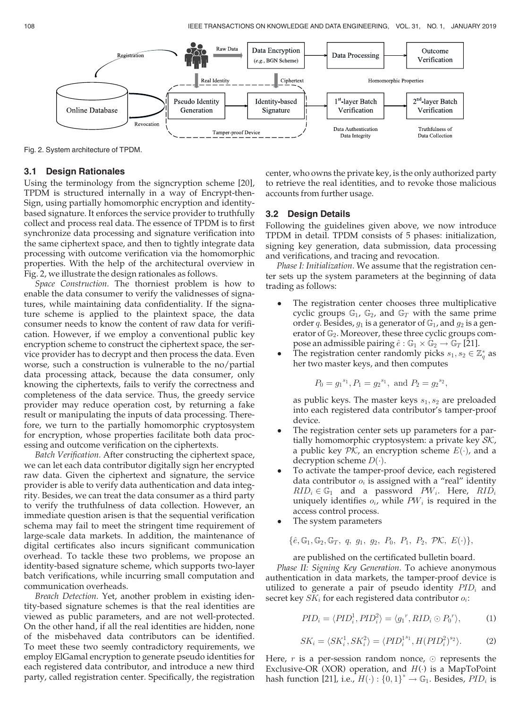

Fig. 2. System architecture of TPDM.

#### 3.1 Design Rationales

Using the terminology from the signcryption scheme [20], TPDM is structured internally in a way of Encrypt-then-Sign, using partially homomorphic encryption and identitybased signature. It enforces the service provider to truthfully collect and process real data. The essence of TPDM is to first synchronize data processing and signature verification into the same ciphertext space, and then to tightly integrate data processing with outcome verification via the homomorphic properties. With the help of the architectural overview in Fig. 2, we illustrate the design rationales as follows.

Space Construction. The thorniest problem is how to enable the data consumer to verify the validnesses of signatures, while maintaining data confidentiality. If the signature scheme is applied to the plaintext space, the data consumer needs to know the content of raw data for verification. However, if we employ a conventional public key encryption scheme to construct the ciphertext space, the service provider has to decrypt and then process the data. Even worse, such a construction is vulnerable to the no/partial data processing attack, because the data consumer, only knowing the ciphertexts, fails to verify the correctness and completeness of the data service. Thus, the greedy service provider may reduce operation cost, by returning a fake result or manipulating the inputs of data processing. Therefore, we turn to the partially homomorphic cryptosystem for encryption, whose properties facilitate both data processing and outcome verification on the ciphertexts.

Batch Verification. After constructing the ciphertext space, we can let each data contributor digitally sign her encrypted raw data. Given the ciphertext and signature, the service provider is able to verify data authentication and data integrity. Besides, we can treat the data consumer as a third party to verify the truthfulness of data collection. However, an immediate question arisen is that the sequential verification schema may fail to meet the stringent time requirement of large-scale data markets. In addition, the maintenance of digital certificates also incurs significant communication overhead. To tackle these two problems, we propose an identity-based signature scheme, which supports two-layer batch verifications, while incurring small computation and communication overheads.

Breach Detection. Yet, another problem in existing identity-based signature schemes is that the real identities are viewed as public parameters, and are not well-protected. On the other hand, if all the real identities are hidden, none of the misbehaved data contributors can be identified. To meet these two seemly contradictory requirements, we employ ElGamal encryption to generate pseudo identities for each registered data contributor, and introduce a new third party, called registration center. Specifically, the registration center, who owns the private key, is the only authorized party to retrieve the real identities, and to revoke those malicious accounts from further usage.

## 3.2 Design Details

Following the guidelines given above, we now introduce TPDM in detail. TPDM consists of 5 phases: initialization, signing key generation, data submission, data processing and verifications, and tracing and revocation.

Phase I: Initialization. We assume that the registration center sets up the system parameters at the beginning of data trading as follows:

- The registration center chooses three multiplicative cyclic groups  $\mathbb{G}_1$ ,  $\mathbb{G}_2$ , and  $\mathbb{G}_T$  with the same prime order q. Besides,  $q_1$  is a generator of  $\mathbb{G}_1$ , and  $q_2$  is a generator of  $\mathbb{G}_2$ . Moreover, these three cyclic groups compose an admissible pairing  $\hat{e} : \mathbb{G}_1 \times \mathbb{G}_2 \to \mathbb{G}_T$  [21].
- The registration center randomly picks  $s_1, s_2 \in \mathbb{Z}_q^*$  as her two master keys and then computes her two master keys, and then computes

$$
P_0 = g_1^{s_1}, P_1 = g_2^{s_1}, \text{ and } P_2 = g_2^{s_2},
$$

as public keys. The master keys  $s_1, s_2$  are preloaded into each registered data contributor's tamper-proof device.

- The registration center sets up parameters for a partially homomorphic cryptosystem: a private key SK, a public key  $PK$ , an encryption scheme  $E(\cdot)$ , and a decryption scheme  $D(\cdot)$ .
- To activate the tamper-proof device, each registered data contributor  $o_i$  is assigned with a "real" identity  $RID_i \in \mathbb{G}_1$  and a password  $PW_i$ . Here,  $RID_i$ uniquely identifies  $o_i$ , while  $PW_i$  is required in the access control process.
- The system parameters

$$
\{\hat{e}, \mathbb{G}_1, \mathbb{G}_2, \mathbb{G}_T, q, g_1, g_2, P_0, P_1, P_2, \mathcal{PK}, E(\cdot)\},\
$$

are published on the certificated bulletin board.

Phase II: Signing Key Generation. To achieve anonymous authentication in data markets, the tamper-proof device is utilized to generate a pair of pseudo identity  $PID_i$  and secret key  $SK_i$  for each registered data contributor  $o_i$ :

$$
PID_i = \langle PID_i^1, PID_i^2 \rangle = \langle g_1^r, RID_i \odot P_0^r \rangle, \tag{1}
$$

$$
SK_i = \langle SK_i^1, SK_i^2 \rangle = \langle PID_i^{1s_1}, H(PID_i^2)^{s_2} \rangle. \tag{2}
$$

Here, r is a per-session random nonce,  $\odot$  represents the Exclusive-OR (XOR) operation, and  $H(.)$  is a MapToPoint hash function [21], i.e.,  $H(\cdot): \{0,1\}^* \to \mathbb{G}_1$ . Besides,  $PID_i$  is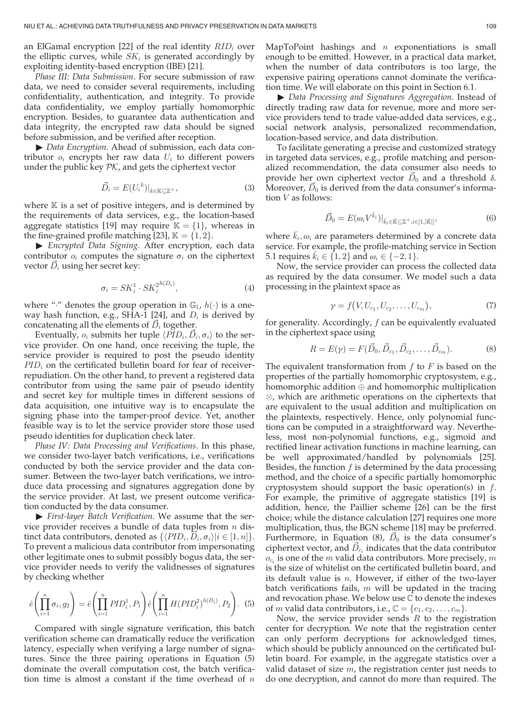an ElGamal encryption [22] of the real identity  $RID_i$  over the elliptic curves, while  $SK_i$  is generated accordingly by exploiting identity-based encryption (IBE) [21].

Phase III: Data Submission. For secure submission of raw data, we need to consider several requirements, including confidentiality, authentication, and integrity. To provide data confidentiality, we employ partially homomorphic encryption. Besides, to guarantee data authentication and data integrity, the encrypted raw data should be signed before submission, and be verified after reception.

Data Encryption. Ahead of submission, each data contributor  $o_i$  encrypts her raw data  $U_i$  to different powers under the public key  $PK$ , and gets the ciphertext vector

$$
\vec{D}_i = E(U_i^k)|_{k \in \mathbb{K} \subseteq \mathbb{Z}^+},\tag{3}
$$

where  $K$  is a set of positive integers, and is determined by the requirements of data services, e.g., the location-based aggregate statistics [19] may require  $\mathbb{K} = \{1\}$ , whereas in the fine-grained profile matching [23],  $\mathbb{K} = \{1, 2\}.$ 

Encrypted Data Signing. After encryption, each data contributor  $o_i$  computes the signature  $\sigma_i$  on the ciphertext vector  $D_i$  using her secret key:

$$
\sigma_i = SK_i^1 \cdot SK_i^{2^{h(D_i)}},\tag{4}
$$

where "." denotes the group operation in  $\mathbb{G}_1$ ,  $h(\cdot)$  is a oneway hash function, e.g., SHA-1 [24], and  $D_i$  is derived by concatenating all the elements of  $\vec{D}_i$  together.

Eventually,  $o_i$  submits her tuple  $\langle PID_i, D_i, \sigma_i \rangle$  to the service provider. On one hand, once receiving the tuple, the service provider is required to post the pseudo identity  $PID_i$  on the certificated bulletin board for fear of receiverrepudiation. On the other hand, to prevent a registered data contributor from using the same pair of pseudo identity and secret key for multiple times in different sessions of data acquisition, one intuitive way is to encapsulate the signing phase into the tamper-proof device. Yet, another feasible way is to let the service provider store those used pseudo identities for duplication check later.

Phase IV: Data Processing and Verifications. In this phase, we consider two-layer batch verifications, i.e., verifications conducted by both the service provider and the data consumer. Between the two-layer batch verifications, we introduce data processing and signatures aggregation done by the service provider. At last, we present outcome verification conducted by the data consumer.

 $\blacktriangleright$  First-layer Batch Verification. We assume that the service provider receives a bundle of data tuples from  $n$  distinct data contributors, denoted as  $\{$ langle PID\_i, D\_i, \sigma\_i \rangle | i \in [1, n]\}. To prevent a malicious data contributor from impersonating other legitimate ones to submit possibly bogus data, the service provider needs to verify the validnesses of signatures by checking whether

$$
\hat{e}\left(\prod_{i=1}^n \sigma_i, g_2\right) = \hat{e}\left(\prod_{i=1}^n PID_i^1, P_1\right) \hat{e}\left(\prod_{i=1}^n H(PID_i^2)^{h(D_i)}, P_2\right). \tag{5}
$$

Compared with single signature verification, this batch verification scheme can dramatically reduce the verification latency, especially when verifying a large number of signatures. Since the three pairing operations in Equation (5) dominate the overall computation cost, the batch verification time is almost a constant if the time overhead of  $n$  MapToPoint hashings and  $n$  exponentiations is small enough to be emitted. However, in a practical data market, when the number of data contributors is too large, the expensive pairing operations cannot dominate the verification time. We will elaborate on this point in Section 6.1.

 $\triangleright$  Data Processing and Signatures Aggregation. Instead of directly trading raw data for revenue, more and more service providers tend to trade value-added data services, e.g., social network analysis, personalized recommendation, location-based service, and data distribution.

To facilitate generating a precise and customized strategy in targeted data services, e.g., profile matching and personalized recommendation, the data consumer also needs to provide her own ciphertext vector  $\vec{D}_0$  and a threshold  $\delta$ . Moreover,  $\vec{D}_0$  is derived from the data consumer's information V as follows:

$$
\vec{D}_0 = E(\omega_i V^{\bar{k}_i})|_{\bar{k}_i \in \bar{\mathbb{K}} \subseteq \mathbb{Z}^+, i \in [1, |\bar{\mathbb{K}}|]},\tag{6}
$$

where  $\bar{k}_i, \omega_i$  are parameters determined by a concrete data service. For example, the profile-matching service in Section 5.1 requires  $\bar{k}_i \in \{1,2\}$  and  $\omega_i \in \{-2,1\}$ .<br>Now the service provider can proce

Now, the service provider can process the collected data as required by the data consumer. We model such a data processing in the plaintext space as

$$
\gamma = f(V, U_{c_1}, U_{c_2}, \dots, U_{c_m}), \tag{7}
$$

for generality. Accordingly,  $f$  can be equivalently evaluated in the ciphertext space using

$$
R = E(\gamma) = F(\vec{D}_0, \vec{D}_{c_1}, \vec{D}_{c_2}, \dots, \vec{D}_{c_m}).
$$
 (8)

The equivalent transformation from  $f$  to  $F$  is based on the properties of the partially homomorphic cryptosystem, e.g., homomorphic addition  $\oplus$  and homomorphic multiplication  $\otimes$  which are arithmetic operations on the ciphertexts that  $\otimes$ , which are arithmetic operations on the ciphertexts that are equivalent to the usual addition and multiplication on the plaintexts, respectively. Hence, only polynomial functions can be computed in a straightforward way. Nevertheless, most non-polynomial functions, e.g., sigmoid and rectified linear activation functions in machine learning, can be well approximated/handled by polynomials [25]. Besides, the function  $f$  is determined by the data processing method, and the choice of a specific partially homomorphic cryptosystem should support the basic operation(s) in  $f$ . For example, the primitive of aggregate statistics [19] is addition, hence, the Paillier scheme [26] can be the first choice; while the distance calculation [27] requires one more multiplication, thus, the BGN scheme [18] may be preferred. Furthermore, in Equation (8),  $D_0$  is the data consumer's ciphertext vector, and  $\dot{D}_{c_i}$  indicates that the data contributor  $o_{c_i}$  is one of the m valid data contributors. More precisely, m is the size of whitelist on the certificated bulletin board, and its default value is  $n$ . However, if either of the two-layer batch verifications fails,  $m$  will be updated in the tracing and revocation phase. We below use C to denote the indexes of *m* valid data contributors, i.e.,  $\mathbb{C} = \{c_1, c_2, \ldots, c_m\}.$ 

Now, the service provider sends  $R$  to the registration center for decryption. We note that the registration center can only perform decryptions for acknowledged times, which should be publicly announced on the certificated bulletin board. For example, in the aggregate statistics over a valid dataset of size  $m$ , the registration center just needs to do one decryption, and cannot do more than required. The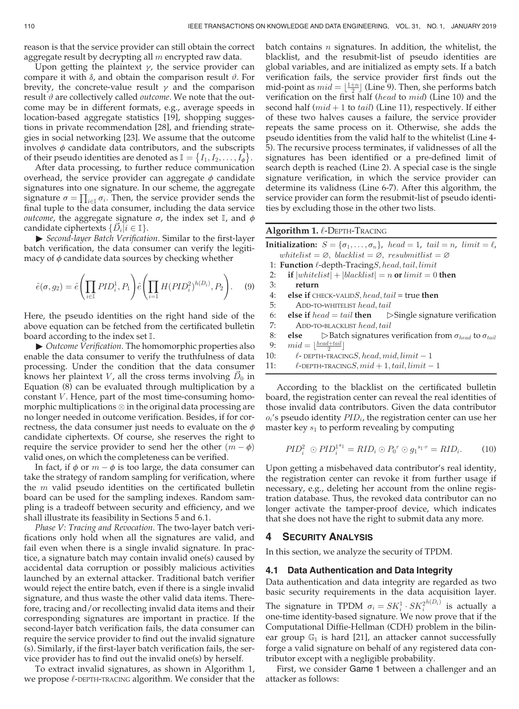reason is that the service provider can still obtain the correct aggregate result by decrypting all  $m$  encrypted raw data.

Upon getting the plaintext  $\gamma$ , the service provider can compare it with  $\delta$ , and obtain the comparison result  $\vartheta$ . For brevity, the concrete-value result  $\gamma$  and the comparison result  $\vartheta$  are collectively called *outcome*. We note that the outcome may be in different formats, e.g., average speeds in location-based aggregate statistics [19], shopping suggestions in private recommendation [28], and friending strategies in social networking [23]. We assume that the outcome involves  $\phi$  candidate data contributors, and the subscripts of their pseudo identities are denoted as  $\mathbb{I} = \{I_1, I_2, \ldots, I_\phi\}$ .<br>After data processing to further reduce communication

After data processing, to further reduce communication overhead, the service provider can aggregate  $\phi$  candidate signatures into one signature. In our scheme, the aggregate signature  $\sigma = \prod_{i \in I} \sigma_i$ . Then, the service provider sends the final tuple to the data consumer including the data service final tuple to the data consumer, including the data service *outcome*, the aggregate signature  $\sigma$ , the index set I, and  $\phi$ candidate ciphertexts  $\{D_i|i \in \mathbb{I}\}.$ 

Second-layer Batch Verification. Similar to the first-layer batch verification, the data consumer can verify the legitimacy of  $\phi$  candidate data sources by checking whether

$$
\hat{e}(\sigma, g_2) = \hat{e} \left( \prod_{i \in \mathbb{I}} PID_i^1, P_1 \right) \hat{e} \left( \prod_{i=1} H(PID_i^2)^{h(D_i)}, P_2 \right). \tag{9}
$$

Here, the pseudo identities on the right hand side of the above equation can be fetched from the certificated bulletin board according to the index set I.

 $\triangleright$  Outcome Verification. The homomorphic properties also enable the data consumer to verify the truthfulness of data processing. Under the condition that the data consumer knows her plaintext V, all the cross terms involving  $\vec{D}_0$  in Equation (8) can be evaluated through multiplication by a constant  $V$ . Hence, part of the most time-consuming homomorphic multiplications  $\otimes$  in the original data processing are no longer needed in outcome verification. Besides, if for correctness, the data consumer just needs to evaluate on the  $\phi$ candidate ciphertexts. Of course, she reserves the right to require the service provider to send her the other  $(m - \phi)$ valid ones, on which the completeness can be verified.

In fact, if  $\phi$  or  $m - \phi$  is too large, the data consumer can take the strategy of random sampling for verification, where the  $m$  valid pseudo identities on the certificated bulletin board can be used for the sampling indexes. Random sampling is a tradeoff between security and efficiency, and we shall illustrate its feasibility in Sections 5 and 6.1.

Phase V: Tracing and Revocation. The two-layer batch verifications only hold when all the signatures are valid, and fail even when there is a single invalid signature. In practice, a signature batch may contain invalid one(s) caused by accidental data corruption or possibly malicious activities launched by an external attacker. Traditional batch verifier would reject the entire batch, even if there is a single invalid signature, and thus waste the other valid data items. Therefore, tracing and/or recollecting invalid data items and their corresponding signatures are important in practice. If the second-layer batch verification fails, the data consumer can require the service provider to find out the invalid signature (s). Similarly, if the first-layer batch verification fails, the service provider has to find out the invalid one(s) by herself.

To extract invalid signatures, as shown in Algorithm 1, we propose  $\ell$ -DEPTH-TRACING algorithm. We consider that the batch contains  $n$  signatures. In addition, the whitelist, the blacklist, and the resubmit-list of pseudo identities are global variables, and are initialized as empty sets. If a batch verification fails, the service provider first finds out the mid-point as  $mid = \lfloor \frac{1+n}{2} \rfloor$  (Line 9). Then, she performs batch verification on the first half *(head* to *mid*) (Line 10) and the verification on the first half (head to mid) (Line 10) and the second half  $(mid + 1$  to tail) (Line 11), respectively. If either of these two halves causes a failure, the service provider repeats the same process on it. Otherwise, she adds the pseudo identities from the valid half to the whitelist (Line 4- 5). The recursive process terminates, if validnesses of all the signatures has been identified or a pre-defined limit of search depth is reached (Line 2). A special case is the single signature verification, in which the service provider can determine its validness (Line 6-7). After this algorithm, the service provider can form the resubmit-list of pseudo identities by excluding those in the other two lists.

| Algorithm 1. $\ell$ -DEPTH-TRACING |  |  |                            |  |  |  |  |  |
|------------------------------------|--|--|----------------------------|--|--|--|--|--|
|                                    |  |  | $\mathbf{r}$ i. $\alpha$ f |  |  |  |  |  |

**Initialization:**  $S = \{\sigma_1, \ldots, \sigma_n\}$ , head  $= 1$ , tail  $= n$ , limit  $= \ell$ , whitelist  $= \emptyset$  hacklist  $= \emptyset$  resubmitlist  $= \emptyset$ whitelist =  $\varnothing$ , blacklist =  $\varnothing$ , resubmitlist =  $\varnothing$ 1: **Function**  $\ell$ -depth-Tracing*S*, head, tail, limit<br>2: **if**  $|whitelist| + |blacklist| = n$  **or** limit = 0 2: if  $|whitelist| + |blacklist| = n$  or  $limit = 0$  then<br>3: return 3: return<br>4<sup>:</sup> else if CI 4: **else if** CHECK-VALIDS, head, tail = true **then**<br>5.  $\Delta$ DD-TO-WHITELIST head, tail 5: ADD-TO-WHITELIST head, tail 6: **else if**  $head = tail$  **then**  $\triangleright$  Single signature verification 7: ADD-TO-BLACKLIST *head, tail* ADD-TO-BLACKLIST head, tail 8: **else**  $\triangleright$  Batch signatures verification from  $\sigma_{head}$  to  $\sigma_{tail}$ <br>9:  $mid = |\frac{head + tail}{\sigma_{tail}}|$ 9:  $mid = \lfloor \frac{head + tail}{2} \rfloor$ <br>10:  $\ell$ - DEPTH-TRACI 2.  $mu = \lfloor \frac{m}{2} \rfloor$ <br>10:  $\ell$ - DEPTH-TRACINGS, head, mid, limit - 1<br>11:  $\ell$ -DEPTH-TRACINGS mid + 1 tail limit -11:  $\ell$ -DEPTH-TRACINGS,  $mid + 1$ , tail, limit  $-1$ 

According to the blacklist on the certificated bulletin board, the registration center can reveal the real identities of those invalid data contributors. Given the data contributor  $o_i$ 's pseudo identity  $PID_i$ , the registration center can use her master key  $s_1$  to perform revealing by computing

$$
PID_i^2 \odot PID_i^{1s_1} = RID_i \odot P_0^r \odot g_1^{s_1 \cdot r} = RID_i. \tag{10}
$$

Upon getting a misbehaved data contributor's real identity, the registration center can revoke it from further usage if necessary, e.g., deleting her account from the online registration database. Thus, the revoked data contributor can no longer activate the tamper-proof device, which indicates that she does not have the right to submit data any more.

## 4 SECURITY ANALYSIS

In this section, we analyze the security of TPDM.

#### 4.1 Data Authentication and Data Integrity

Data authentication and data integrity are regarded as two basic security requirements in the data acquisition layer. The signature in TPDM  $\sigma_i = SK_i^1 \cdot SK_i^{2h(D_i)}$  is actually a one-time identity-based signature. We now prove that if the one-time identity-based signature. We now prove that if the Computational Diffie-Hellman (CDH) problem in the bilinear group  $\mathbb{G}_1$  is hard [21], an attacker cannot successfully forge a valid signature on behalf of any registered data contributor except with a negligible probability.

First, we consider Game 1 between a challenger and an attacker as follows: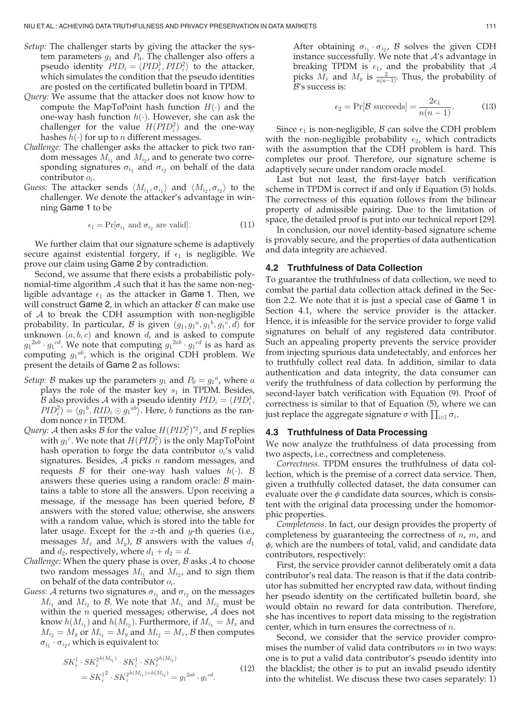- Setup: The challenger starts by giving the attacker the system parameters  $g_1$  and  $P_0$ . The challenger also offers a pseudo identity  $PID_i = \langle PID_i^1, PID_i^2 \rangle$  to the attacker, which simulates the condition that the pseudo identities which simulates the condition that the pseudo identities are posted on the certificated bulletin board in TPDM.
- Query: We assume that the attacker does not know how to compute the MapToPoint hash function  $H(\cdot)$  and the one-way hash function  $h(\cdot)$ . However, she can ask the challenger for the value  $H(PID_i^2)$  and the one-way<br>hashes  $h(.)$  for up to *n* different messages hashes  $h(\cdot)$  for up to *n* different messages.
- Challenge: The challenger asks the attacker to pick two random messages  $M_{i_1}$  and  $M_{i_2}$ , and to generate two corresponding signatures  $\sigma_{i_1}$  and  $\sigma_{i_2}$  on behalf of the data contributor  $o_i$ .
- Guess: The attacker sends  $\langle M_{i_1}, \sigma_{i_1} \rangle$  and  $\langle M_{i_2}, \sigma_{i_2} \rangle$  to the challenger. We denote the attacker's advantage in winning Game 1 to be

$$
\epsilon_1 = \Pr[\sigma_{i_1} \text{ and } \sigma_{i_2} \text{ are valid}]. \tag{11}
$$

We further claim that our signature scheme is adaptively secure against existential forgery, if  $\epsilon_1$  is negligible. We prove our claim using Game 2 by contradiction.

Second, we assume that there exists a probabilistic polynomial-time algorithm  $A$  such that it has the same non-negligible advantage  $\epsilon_1$  as the attacker in **Game 1**. Then, we will construct Game 2, in which an attacker  $\beta$  can make use of  $A$  to break the CDH assumption with non-negligible probability. In particular, B is given  $(g_1, g_1^a, g_1^b, g_1^c, d)$  for unknown  $(g, b, c)$  and known d and is asked to compute unknown  $(a, b, c)$  and known d, and is asked to compute  $g_1^{2ab} \cdot g_1^{cd}$  is as hard as computing  $g_1^{ab}$  which is the original CDH problem. We computing  $g_1{}^{ab}$ , which is the original CDH problem. We present the details of Game 2 as follows:

- *Setup: B* makes up the parameters  $g_1$  and  $P_0 = g_1^a$ , where a plays the role of the master key s<sub>1</sub> in TPDM Besides plays the role of the master key  $s_1$  in TPDM. Besides, B also provides A with a pseudo identity  $PID_i = \langle PID_i^1, PID_i^2 \rangle = \langle g_1^b, RID_i \odot g_1^{ab} \rangle$ . Here, b functions as the ran-<br>dom nonce r in TPDM *B* also provides *A* with a pseudo identity  $PID_i = \langle PID_i^1,$ dom nonce r in TPDM.
- *Query:* A then asks B for the value  $H(PID_i^2)^{s_2}$ , and B replies with  $a_i^c$ . We note that  $H(PID_i^2)$  is the only ManToPoint y. A then asks b for the value  $H(1D_i)$ , and b replies<br>with  $g_1^c$ . We note that  $H(PID_i^2)$  is the only MapToPoint<br>hash operation to force the data contributor o's valid hash operation to forge the data contributor  $o_i$ 's valid signatures. Besides,  $A$  picks  $n$  random messages, and requests B for their one-way hash values  $h(\cdot)$ . B answers these queries using a random oracle:  $\beta$  maintains a table to store all the answers. Upon receiving a message, if the message has been queried before, B answers with the stored value; otherwise, she answers with a random value, which is stored into the table for later usage. Except for the x-th and y-th queries (i.e., messages  $M_x$  and  $M_y$ ), B answers with the values  $d_1$ and  $d_2$ , respectively, where  $d_1 + d_2 = d$ .
- *Challenge:* When the query phase is over,  $\beta$  asks  $\mathcal A$  to choose two random messages  $M_{i_1}$  and  $M_{i_2}$ , and to sign them on behalf of the data contributor  $o_i$ .
- Guess: A returns two signatures  $\sigma_{i_1}$  and  $\sigma_{i_2}$  on the messages  $M_{i_1}$  and  $M_{i_2}$  to B. We note that  $M_{i_1}$  and  $M_{i_2}$  must be within the  $n$  queried messages; otherwise,  $A$  does not know  $h(M_{i_1})$  and  $h(M_{i_2})$ . Furthermore, if  $M_{i_1} = M_x$  and  $M_{i_2} = M_y$  or  $M_{i_1} = M_y$  and  $M_{i_2} = M_x$  ,  $\mathcal B$  then computes  $\sigma_{i_1} \cdot \sigma_{i_2}$ , which is equivalent to:

$$
SK_i^1 \cdot SK_i^{2h(M_{i_1})} \cdot SK_i^1 \cdot SK_i^{2h(M_{i_2})} = SK_i^{12} \cdot SK_i^{2h(M_{i_1}) + h(M_{i_2})} = g_1^{2ab} \cdot g_1^{cd}.
$$
\n(12)

After obtaining  $\sigma_{i_1} \cdot \sigma_{i_2}$ , *B* solves the given CDH instance successfully. We note that *A's* advantage in instance successfully. We note that A's advantage in<br>breaking TPDM is  $\epsilon_1$ , and the probability that A<br>picks  $M_x$  and  $M_y$  is  $\frac{2}{n(n-1)}$ . Thus, the probability of<br>B's success is: B's success is:

$$
\epsilon_2 = \Pr[\mathcal{B} \text{ succeeds}] = \frac{2\epsilon_1}{n(n-1)}.\tag{13}
$$

Since  $\epsilon_1$  is non-negligible, B can solve the CDH problem<br>th the non-negligible probability  $\epsilon_2$  which contradicts with the non-negligible probability  $\epsilon_2$ , which contradicts with the assumption that the CDH problem is hard. This completes our proof. Therefore, our signature scheme is adaptively secure under random oracle model.

Last but not least, the first-layer batch verification scheme in TPDM is correct if and only if Equation (5) holds. The correctness of this equation follows from the bilinear property of admissible pairing. Due to the limitation of space, the detailed proof is put into our technical report [29].

In conclusion, our novel identity-based signature scheme is provably secure, and the properties of data authentication and data integrity are achieved.

#### 4.2 Truthfulness of Data Collection

To guarantee the truthfulness of data collection, we need to combat the partial data collection attack defined in the Section 2.2. We note that it is just a special case of Game 1 in Section 4.1, where the service provider is the attacker. Hence, it is infeasible for the service provider to forge valid signatures on behalf of any registered data contributor. Such an appealing property prevents the service provider from injecting spurious data undetectably, and enforces her to truthfully collect real data. In addition, similar to data authentication and data integrity, the data consumer can verify the truthfulness of data collection by performing the second-layer batch verification with Equation (9). Proof of correctness is similar to that of Equation (5), where we can just replace the aggregate signature  $\sigma$  with  $\prod_{i\in\Bbb I}\sigma_i.$ 

#### 4.3 Truthfulness of Data Processing

We now analyze the truthfulness of data processing from two aspects, i.e., correctness and completeness.

Correctness. TPDM ensures the truthfulness of data collection, which is the premise of a correct data service. Then, given a truthfully collected dataset, the data consumer can evaluate over the  $\phi$  candidate data sources, which is consistent with the original data processing under the homomorphic properties.

Completeness. In fact, our design provides the property of completeness by guaranteeing the correctness of  $n$ ,  $m$ , and  $\phi$ , which are the numbers of total, valid, and candidate data contributors, respectively:

First, the service provider cannot deliberately omit a data contributor's real data. The reason is that if the data contributor has submitted her encrypted raw data, without finding her pseudo identity on the certificated bulletin board, she would obtain no reward for data contribution. Therefore, she has incentives to report data missing to the registration center, which in turn ensures the correctness of n.

Second, we consider that the service provider compromises the number of valid data contributors  $m$  in two ways: one is to put a valid data contributor's pseudo identity into the blacklist; the other is to put an invalid pseudo identity into the whitelist. We discuss these two cases separately: 1)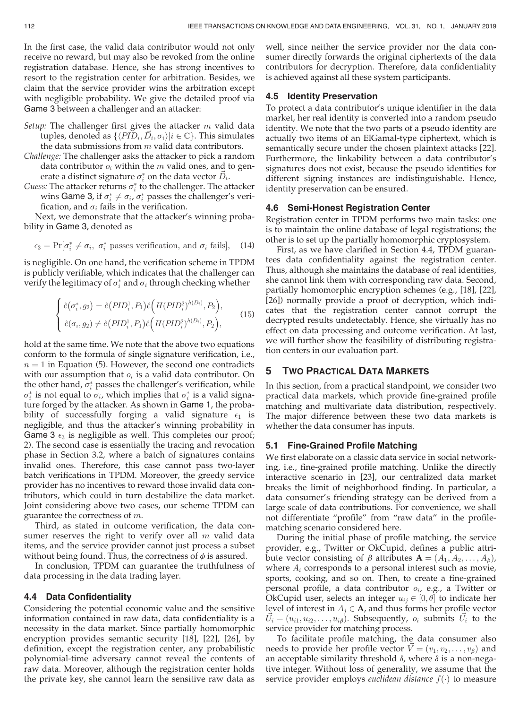In the first case, the valid data contributor would not only receive no reward, but may also be revoked from the online registration database. Hence, she has strong incentives to resort to the registration center for arbitration. Besides, we claim that the service provider wins the arbitration except with negligible probability. We give the detailed proof via Game 3 between a challenger and an attacker:

- Setup: The challenger first gives the attacker  $m$  valid data tuples, denoted as  $\{ \langle PID_i, D_i, \sigma_i \rangle | i \in \mathbb{C} \}$ . This simulates the data submissions from  $m$  valid data contributors.
- Challenge: The challenger asks the attacker to pick a random data contributor  $o_i$  within the m valid ones, and to generate a distinct signature  $\sigma_i^*$  on the data vector  $\vec{D}_i$ .
- *Guess:* The attacker returns  $\sigma_i^*$  to the challenger. The attacker wins **Game** 3, if  $\sigma_i^* \neq \sigma_i$ ,  $\sigma_i^*$  passes the challenger's verification and  $\sigma_i$  fails in the verification fication, and  $\sigma_i$  fails in the verification.

Next, we demonstrate that the attacker's winning probability in Game 3, denoted as

$$
\epsilon_3 = \Pr[\sigma_i^* \neq \sigma_i, \ \sigma_i^* \text{ passes verification, and } \sigma_i \text{ fails}], \quad (14)
$$

is negligible. On one hand, the verification scheme in TPDM is publicly verifiable, which indicates that the challenger can verify the legitimacy of  $\sigma_i^*$  and  $\sigma_i$  through checking whether

$$
\begin{cases}\n\hat{e}(\sigma_i^*, g_2) = \hat{e}(PID_i^1, P_1)\hat{e}(H(PID_i^2)^{h(D_i)}, P_2), \\
\hat{e}(\sigma_i, g_2) \neq \hat{e}(PID_i^1, P_1)\hat{e}(H(PID_i^2)^{h(D_i)}, P_2),\n\end{cases}
$$
\n(15)

hold at the same time. We note that the above two equations conform to the formula of single signature verification, i.e.,  $n = 1$  in Equation (5). However, the second one contradicts with our assumption that  $o_i$  is a valid data contributor. On the other hand,  $\sigma_i^*$  passes the challenger's verification, while  $\sigma_i^*$  is not equal to  $\sigma_i$ , which implies that  $\sigma_i^*$  is a valid signature forged by the attacker. As shown in Game 1, the probability of successfully forging a valid signature  $\epsilon_1$  is negligible, and thus the attacker's winning probability in Game 3  $\epsilon_3$  is negligible as well. This completes our proof; 2). The second case is essentially the tracing and revocation phase in Section 3.2, where a batch of signatures contains invalid ones. Therefore, this case cannot pass two-layer batch verifications in TPDM. Moreover, the greedy service provider has no incentives to reward those invalid data contributors, which could in turn destabilize the data market. Joint considering above two cases, our scheme TPDM can guarantee the correctness of m.

Third, as stated in outcome verification, the data consumer reserves the right to verify over all  $m$  valid data items, and the service provider cannot just process a subset without being found. Thus, the correctness of  $\phi$  is assured.

In conclusion, TPDM can guarantee the truthfulness of data processing in the data trading layer.

## 4.4 Data Confidentiality

Considering the potential economic value and the sensitive information contained in raw data, data confidentiality is a necessity in the data market. Since partially homomorphic encryption provides semantic security [18], [22], [26], by definition, except the registration center, any probabilistic polynomial-time adversary cannot reveal the contents of raw data. Moreover, although the registration center holds the private key, she cannot learn the sensitive raw data as well, since neither the service provider nor the data consumer directly forwards the original ciphertexts of the data contributors for decryption. Therefore, data confidentiality is achieved against all these system participants.

#### 4.5 Identity Preservation

To protect a data contributor's unique identifier in the data market, her real identity is converted into a random pseudo identity. We note that the two parts of a pseudo identity are actually two items of an ElGamal-type ciphertext, which is semantically secure under the chosen plaintext attacks [22]. Furthermore, the linkability between a data contributor's signatures does not exist, because the pseudo identities for different signing instances are indistinguishable. Hence, identity preservation can be ensured.

#### 4.6 Semi-Honest Registration Center

Registration center in TPDM performs two main tasks: one is to maintain the online database of legal registrations; the other is to set up the partially homomorphic cryptosystem.

First, as we have clarified in Section 4.4, TPDM guarantees data confidentiality against the registration center. Thus, although she maintains the database of real identities, she cannot link them with corresponding raw data. Second, partially homomorphic encryption schemes (e.g., [18], [22], [26]) normally provide a proof of decryption, which indicates that the registration center cannot corrupt the decrypted results undetectably. Hence, she virtually has no effect on data processing and outcome verification. At last, we will further show the feasibility of distributing registration centers in our evaluation part.

## 5 TWO PRACTICAL DATA MARKETS

In this section, from a practical standpoint, we consider two practical data markets, which provide fine-grained profile matching and multivariate data distribution, respectively. The major difference between these two data markets is whether the data consumer has inputs.

#### 5.1 Fine-Grained Profile Matching

We first elaborate on a classic data service in social networking, i.e., fine-grained profile matching. Unlike the directly interactive scenario in [23], our centralized data market breaks the limit of neighborhood finding. In particular, a data consumer's friending strategy can be derived from a large scale of data contributions. For convenience, we shall not differentiate "profile" from "raw data" in the profilematching scenario considered here.

During the initial phase of profile matching, the service provider, e.g., Twitter or OkCupid, defines a public attribute vector consisting of  $\beta$  attributes  $\mathbf{A} = (A_1, A_2, \dots, A_\beta)$ , where  $A_i$  corresponds to a personal interest such as movie, sports, cooking, and so on. Then, to create a fine-grained personal profile, a data contributor  $o_i$ , e.g., a Twitter or OkCupid user, selects an integer  $u_{ij} \in [0, \theta]$  to indicate her level of interest in  $A_j \in \mathbf{A}$ , and thus forms her profile vector  $\vec{U}_i = (u_{i1}, u_{i2}, \dots, u_{i\beta})$ . Subsequently,  $o_i$  submits  $\vec{U}_i$  to the service provider for matching process service provider for matching process.

To facilitate profile matching, the data consumer also needs to provide her profile vector  $\vec{V} = (v_1, v_2, \dots, v_\beta)$  and<br>an acceptable similarity threshold  $\delta$ , where  $\delta$  is a non-negaan acceptable similarity threshold  $\delta$ , where  $\delta$  is a non-negative integer. Without loss of generality, we assume that the service provider employs *euclidean distance*  $f(\cdot)$  to measure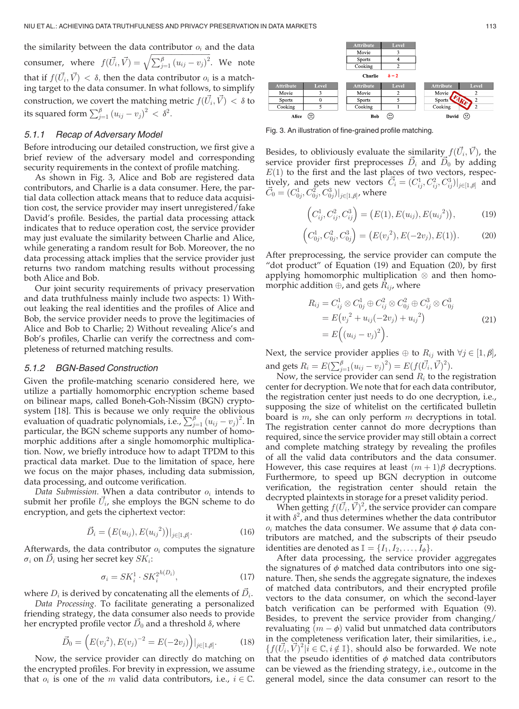the similarity between the data contributor  $o_i$  and the data consumer, where  $f(\vec{U}_i, \vec{V})$  $\mathcal{L}_{\mathcal{A}}$  $\sqrt{\sum_{j=1}^{\beta}(u_{ij}-v_j)^2}$ . We note that if  $f(\vec{U}_i, \vec{V}) < \delta$ , then the data contributor  $o_i$  is a match-<br>ing target to the data consumer. In what follows, to simplify ing target to the data consumer. In what follows, to simplify construction, we covert the matching metric  $f(\vec{U}_i, \vec{V}) < \delta$  to the agreement forms  $\sum_{i=1}^{8} (u_i - u_i)^2 < \delta^2$ its squared form  $\sum_{j=1}^{\beta} (u_{ij} - v_j)^2 < \delta^2$ .

## 5.1.1 Recap of Adversary Model

Before introducing our detailed construction, we first give a brief review of the adversary model and corresponding security requirements in the context of profile matching.

As shown in Fig. 3, Alice and Bob are registered data contributors, and Charlie is a data consumer. Here, the partial data collection attack means that to reduce data acquisition cost, the service provider may insert unregistered/fake David's profile. Besides, the partial data processing attack indicates that to reduce operation cost, the service provider may just evaluate the similarity between Charlie and Alice, while generating a random result for Bob. Moreover, the no data processing attack implies that the service provider just returns two random matching results without processing both Alice and Bob.

Our joint security requirements of privacy preservation and data truthfulness mainly include two aspects: 1) Without leaking the real identities and the profiles of Alice and Bob, the service provider needs to prove the legitimacies of Alice and Bob to Charlie; 2) Without revealing Alice's and Bob's profiles, Charlie can verify the correctness and completeness of returned matching results.

#### 5.1.2 BGN-Based Construction

Given the profile-matching scenario considered here, we utilize a partially homomorphic encryption scheme based on bilinear maps, called Boneh-Goh-Nissim (BGN) cryptosystem [18]. This is because we only require the oblivious evaluation of quadratic polynomials, i.e.,  $\sum_{j=1}^{\beta} (u_{ij} - v_j)^2$ . In particular, the BGN scheme supports any number of homoparticular, the BGN scheme supports any number of homomorphic additions after a single homomorphic multiplication. Now, we briefly introduce how to adapt TPDM to this practical data market. Due to the limitation of space, here we focus on the major phases, including data submission, data processing, and outcome verification.

Data Submission. When a data contributor  $o_i$  intends to submit her profile  $\vec{U_i}$ , she employs the BGN scheme to do encryption, and gets the ciphertext vector:

$$
\vec{D}_i = (E(u_{ij}), E(u_{ij}^2))|_{j \in [1,\beta]}.
$$
\n(16)

Afterwards, the data contributor  $o_i$  computes the signature  $\sigma_i$  on  $D_i$  using her secret key  $SK_i$ :

$$
\sigma_i = SK_i^1 \cdot SK_i^{2h(D_i)}, \tag{17}
$$

where  $D_i$  is derived by concatenating all the elements of  $D_i$ .

Data Processing. To facilitate generating a personalized friending strategy, the data consumer also needs to provide her encrypted profile vector  $D_0$  and a threshold  $\delta$ , where

$$
\vec{D}_0 = \left( E(v_j^2), E(v_j)^{-2} = E(-2v_j) \right) \big|_{j \in [1,\beta]}.
$$
 (18)

Now, the service provider can directly do matching on the encrypted profiles. For brevity in expression, we assume that  $o_i$  is one of the m valid data contributors, i.e.,  $i \in \mathbb{C}$ .



Fig. 3. An illustration of fine-grained profile matching.

Besides, to obliviously evaluate the similarity  $f(\vec{U}_i, \vec{V})$ , the service provider first preprocesses  $\vec{D}_i$  and  $\vec{D}_0$  by adding service provider first preprocesses  $D_i$  and  $D_0$  by adding  $E(1)$  to the first and the last places of two vectors, respectively, and gets new vectors  $\vec{C}_i = (C_{ij}^1, C_{ij}^2, C_{ij}^3)|_{j \in [1,\beta]}$  and  $\vec{C}_0 = (C_{ij}^1, C_{ij}^2, C_{ij}^3)|_{j \in [1,\beta]}$  $\vec{C}_0 = (C_{0j}^1, C_{0j}^2, C_{0j}^3)|_{j \in [1,\beta]},$  where

$$
\left(C_{ij}^1, C_{ij}^2, C_{ij}^3\right) = \left(E(1), E(u_{ij}), E(u_{ij}^2)\right),\tag{19}
$$

$$
\left(C_{0j}^1, C_{0j}^2, C_{0j}^3\right) = \left(E(v_j^2), E(-2v_j), E(1)\right). \tag{20}
$$

After preprocessing, the service provider can compute the "dot product" of Equation (19) and Equation (20), by first applying homomorphic multiplication  $\otimes$  and then homomorphic addition  $\oplus$ , and gets  $R_{ij}$ , where

$$
R_{ij} = C_{ij}^{1} \otimes C_{0j}^{1} \oplus C_{ij}^{2} \otimes C_{0j}^{2} \oplus C_{ij}^{3} \otimes C_{0j}^{3}
$$
  
=  $E(v_{j}^{2} + u_{ij}(-2v_{j}) + u_{ij}^{2})$   
=  $E((u_{ij} - v_{j})^{2}).$  (21)

Next, the service provider applies  $\oplus$  to  $R_{ij}$  with  $\forall j \in [1, \beta],$ and gets  $R_i = E(\sum_{j=1}^{\beta} (u_{ij} - v_j)^2) = E(f(\vec{U}_i, \vec{V})^2)$ .<br>Now, the service provider can send  $R_i$  to the

Now, the service provider can send  $R_i$  to the registration center for decryption. We note that for each data contributor, the registration center just needs to do one decryption, i.e., supposing the size of whitelist on the certificated bulletin board is  $m$ , she can only perform  $m$  decryptions in total. The registration center cannot do more decryptions than required, since the service provider may still obtain a correct and complete matching strategy by revealing the profiles of all the valid data contributors and the data consumer. However, this case requires at least  $(m + 1)\beta$  decryptions. Furthermore, to speed up BGN decryption in outcome verification, the registration center should retain the decrypted plaintexts in storage for a preset validity period.

 $W$ hen getting  $f(\vec{U}_i, \vec{V})^2$ , the service provider can compare<br>with  $\delta^2$  and thus determines whether the data contributor it with  $\delta^2$ , and thus determines whether the data contributor  $o_i$  matches the data consumer. We assume that  $\phi$  data contributors are matched, and the subscripts of their pseudo identities are denoted as  $\mathbb{I} = \{I_1, I_2, \ldots, I_{\phi}\}.$ 

After data processing, the service provider aggregates the signatures of  $\phi$  matched data contributors into one signature. Then, she sends the aggregate signature, the indexes of matched data contributors, and their encrypted profile vectors to the data consumer, on which the second-layer batch verification can be performed with Equation (9). Besides, to prevent the service provider from changing/ revaluating  $(m - \phi)$  valid but unmatched data contributors in the completeness verification later, their similarities, i.e.,  $\{f(\vec{U}_i, \vec{V})^2 | i \in \mathbb{C}, i \notin \mathbb{I}\}$ , should also be forwarded. We note<br>that the pseudo identities of  $\phi$  matched data contributors that the pseudo identities of  $\phi$  matched data contributors can be viewed as the friending strategy, i.e., outcome in the general model, since the data consumer can resort to the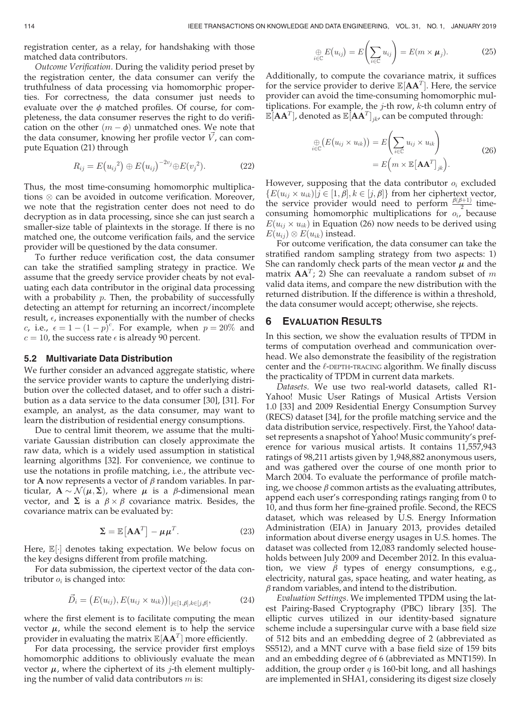registration center, as a relay, for handshaking with those matched data contributors.

Outcome Verification. During the validity period preset by the registration center, the data consumer can verify the truthfulness of data processing via homomorphic properties. For correctness, the data consumer just needs to evaluate over the  $\phi$  matched profiles. Of course, for completeness, the data consumer reserves the right to do verification on the other  $(m - \phi)$  unmatched ones. We note that the data consumer, knowing her profile vector  $\vec{V}$ , can compute Equation (21) through

$$
R_{ij} = E(u_{ij}^2) \oplus E(u_{ij})^{-2v_j} \oplus E(v_j^2).
$$
 (22)

Thus, the most time-consuming homomorphic multiplications  $\otimes$  can be avoided in outcome verification. Moreover, we note that the registration center does not need to do decryption as in data processing, since she can just search a smaller-size table of plaintexts in the storage. If there is no matched one, the outcome verification fails, and the service provider will be questioned by the data consumer.

To further reduce verification cost, the data consumer can take the stratified sampling strategy in practice. We assume that the greedy service provider cheats by not evaluating each data contributor in the original data processing with a probability  $p$ . Then, the probability of successfully detecting an attempt for returning an incorrect/incomplete result,  $\epsilon$ , increases exponentially with the number of checks c, i.e.,  $\epsilon = 1 - (1 - p)^c$ . For example, when  $p = 20\%$  and  $c = 10$  the success rate  $\epsilon$  is already 90 percent  $c = 10$ , the success rate  $\epsilon$  is already 90 percent.

#### 5.2 Multivariate Data Distribution

We further consider an advanced aggregate statistic, where the service provider wants to capture the underlying distribution over the collected dataset, and to offer such a distribution as a data service to the data consumer [30], [31]. For example, an analyst, as the data consumer, may want to learn the distribution of residential energy consumptions.

Due to central limit theorem, we assume that the multivariate Gaussian distribution can closely approximate the raw data, which is a widely used assumption in statistical learning algorithms [32]. For convenience, we continue to use the notations in profile matching, i.e., the attribute vector A now represents a vector of  $\beta$  random variables. In particular,  $\mathbf{A} \sim \mathcal{N}(\boldsymbol{\mu}, \boldsymbol{\Sigma})$ , where  $\boldsymbol{\mu}$  is a  $\beta$ -dimensional mean vector, and  $\Sigma$  is a  $\beta \times \beta$  covariance matrix. Besides, the covariance matrix can be evaluated by:

$$
\Sigma = \mathbb{E}\left[\mathbf{A}\mathbf{A}^T\right] - \mu \mu^T. \tag{23}
$$

Here,  $\mathbb{E}[\cdot]$  denotes taking expectation. We below focus on the key designs different from profile matching.

For data submission, the cipertext vector of the data contributor  $o_i$  is changed into:

$$
\vec{D}_i = (E(u_{ij}), E(u_{ij} \times u_{ik}))|_{j \in [1,\beta], k \in [j,\beta]},
$$
 (24)

where the first element is to facilitate computing the mean vector  $\mu$ , while the second element is to help the service provider in evaluating the matrix  $\mathbb{E}[\mathbf{A}\mathbf{A}^T]$  more efficiently.

For data processing, the service provider first employs homomorphic additions to obliviously evaluate the mean vector  $\mu$ , where the ciphertext of its *j*-th element multiplying the number of valid data contributors  $m$  is:

$$
\bigoplus_{i \in \mathbb{C}} E(u_{ij}) = E\left(\sum_{i \in \mathbb{C}} u_{ij}\right) = E(m \times \mu_j). \tag{25}
$$

Additionally, to compute the covariance matrix, it suffices for the service provider to derive  $\mathbb{E}[AA^T]$ . Here, the service provider can avoid the time-consuming homomorphic multiplications. For example, the  $j$ -th row,  $k$ -th column entry of  $\mathbb{E}[\mathbf{A}\mathbf{A}^T]$ , denoted as  $\mathbb{E}[\mathbf{A}\mathbf{A}^T]_{jk}$ , can be computed through:

$$
\bigoplus_{i \in \mathbb{C}} \big( E(u_{ij} \times u_{ik}) \big) = E\bigg(\sum_{i \in \mathbb{C}} u_{ij} \times u_{ik}\bigg) \n= E\big( m \times \mathbb{E} \big[ \mathbf{A} \mathbf{A}^T \big]_{jk}\big).
$$
\n(26)

However, supposing that the data contributor  $o_i$  excluded  $\{E(u_{ij} \times u_{ik}) | j \in [1, \beta], k \in [j, \beta]\}$  from her ciphertext vector, the service provider would need to perform  $\frac{\beta(\beta+1)}{2}$  timeconsuming homomorphic multiplications for  $o_i$ , because  $E(u_{ij} \times u_{ik})$  in Equation (26) now needs to be derived using  $E(u_{ij}) \otimes E(u_{ik})$  instead.

For outcome verification, the data consumer can take the stratified random sampling strategy from two aspects: 1) She can randomly check parts of the mean vector  $\mu$  and the matrix  $AA<sup>T</sup>$ ; 2) She can reevaluate a random subset of m valid data items, and compare the new distribution with the returned distribution. If the difference is within a threshold, the data consumer would accept; otherwise, she rejects.

## 6 EVALUATION RESULTS

In this section, we show the evaluation results of TPDM in terms of computation overhead and communication overhead. We also demonstrate the feasibility of the registration center and the  $\ell$ -DEPTH-TRACING algorithm. We finally discuss the practicality of TPDM in current data markets.

Datasets. We use two real-world datasets, called R1- Yahoo! Music User Ratings of Musical Artists Version 1.0 [33] and 2009 Residential Energy Consumption Survey (RECS) dataset [34], for the profile matching service and the data distribution service, respectively. First, the Yahoo! dataset represents a snapshot of Yahoo! Music community's preference for various musical artists. It contains 11,557,943 ratings of 98,211 artists given by 1,948,882 anonymous users, and was gathered over the course of one month prior to March 2004. To evaluate the performance of profile matching, we choose  $\beta$  common artists as the evaluating attributes, append each user's corresponding ratings ranging from 0 to 10, and thus form her fine-grained profile. Second, the RECS dataset, which was released by U.S. Energy Information Administration (EIA) in January 2013, provides detailed information about diverse energy usages in U.S. homes. The dataset was collected from 12,083 randomly selected households between July 2009 and December 2012. In this evaluation, we view  $\beta$  types of energy consumptions, e.g., electricity, natural gas, space heating, and water heating, as  $\beta$  random variables, and intend to the distribution.

Evaluation Settings. We implemented TPDM using the latest Pairing-Based Cryptography (PBC) library [35]. The elliptic curves utilized in our identity-based signature scheme include a supersingular curve with a base field size of 512 bits and an embedding degree of 2 (abbreviated as SS512), and a MNT curve with a base field size of 159 bits and an embedding degree of 6 (abbreviated as MNT159). In addition, the group order  $q$  is 160-bit long, and all hashings are implemented in SHA1, considering its digest size closely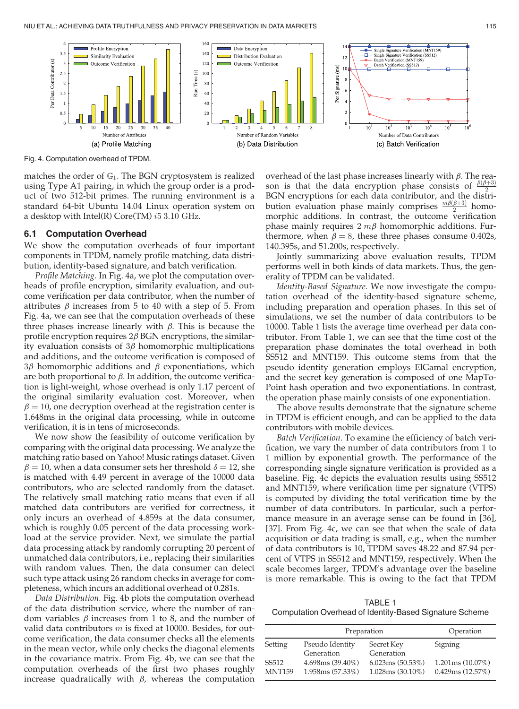

Fig. 4. Computation overhead of TPDM.

matches the order of  $\mathbb{G}_1$ . The BGN cryptosystem is realized using Type A1 pairing, in which the group order is a product of two 512-bit primes. The running environment is a standard 64-bit Ubuntu 14.04 Linux operation system on a desktop with Intel(R) Core(TM)  $i5\ 3.10\ \text{GHz}$ .

#### 6.1 Computation Overhead

We show the computation overheads of four important components in TPDM, namely profile matching, data distribution, identity-based signature, and batch verification.

Profile Matching. In Fig. 4a, we plot the computation overheads of profile encryption, similarity evaluation, and outcome verification per data contributor, when the number of attributes  $\beta$  increases from 5 to 40 with a step of 5. From Fig. 4a, we can see that the computation overheads of these three phases increase linearly with  $\beta$ . This is because the profile encryption requires  $2\beta$  BGN encryptions, the similarity evaluation consists of  $3\beta$  homomorphic multiplications and additions, and the outcome verification is composed of  $3\beta$  homomorphic additions and  $\beta$  exponentiations, which are both proportional to  $\beta$ . In addition, the outcome verification is light-weight, whose overhead is only 1.17 percent of the original similarity evaluation cost. Moreover, when  $\beta = 10$ , one decryption overhead at the registration center is 1.648ms in the original data processing, while in outcome verification, it is in tens of microseconds.

We now show the feasibility of outcome verification by comparing with the original data processing. We analyze the matching ratio based on Yahoo! Music ratings dataset. Given  $\beta = 10$ , when a data consumer sets her threshold  $\delta = 12$ , she is matched with 4.49 percent in average of the 10000 data contributors, who are selected randomly from the dataset. The relatively small matching ratio means that even if all matched data contributors are verified for correctness, it only incurs an overhead of 4.859s at the data consumer, which is roughly 0.05 percent of the data processing workload at the service provider. Next, we simulate the partial data processing attack by randomly corrupting 20 percent of unmatched data contributors, i.e., replacing their similarities with random values. Then, the data consumer can detect such type attack using 26 random checks in average for completeness, which incurs an additional overhead of 0.281s.

Data Distribution. Fig. 4b plots the computation overhead of the data distribution service, where the number of random variables  $\beta$  increases from 1 to 8, and the number of valid data contributors  $m$  is fixed at 10000. Besides, for outcome verification, the data consumer checks all the elements in the mean vector, while only checks the diagonal elements in the covariance matrix. From Fig. 4b, we can see that the computation overheads of the first two phases roughly increase quadratically with  $\beta$ , whereas the computation overhead of the last phase increases linearly with  $\beta$ . The reason is that the data encryption phase consists of  $\frac{\beta(\beta+3)}{2}$ BGN encryptions for each data contributor, and the distribution evaluation phase mainly comprises  $\frac{m\beta(\beta+3)}{2}$  homomorphic additions. In contrast, the outcome verification phase mainly requires  $2 m\beta$  homomorphic additions. Furthermore, when  $\bar{\beta} = 8$ , these three phases consume 0.402s, 140.395s, and 51.200s, respectively.

Jointly summarizing above evaluation results, TPDM performs well in both kinds of data markets. Thus, the generality of TPDM can be validated.

Identity-Based Signature. We now investigate the computation overhead of the identity-based signature scheme, including preparation and operation phases. In this set of simulations, we set the number of data contributors to be 10000. Table 1 lists the average time overhead per data contributor. From Table 1, we can see that the time cost of the preparation phase dominates the total overhead in both SS512 and MNT159. This outcome stems from that the pseudo identity generation employs ElGamal encryption, and the secret key generation is composed of one MapTo-Point hash operation and two exponentiations. In contrast, the operation phase mainly consists of one exponentiation.

The above results demonstrate that the signature scheme in TPDM is efficient enough, and can be applied to the data contributors with mobile devices.

Batch Verification. To examine the efficiency of batch verification, we vary the number of data contributors from 1 to 1 million by exponential growth. The performance of the corresponding single signature verification is provided as a baseline. Fig. 4c depicts the evaluation results using SS512 and MNT159, where verification time per signature (VTPS) is computed by dividing the total verification time by the number of data contributors. In particular, such a performance measure in an average sense can be found in [36], [37]. From Fig. 4c, we can see that when the scale of data acquisition or data trading is small, e.g., when the number of data contributors is 10, TPDM saves 48.22 and 87.94 percent of VTPS in SS512 and MNT159, respectively. When the scale becomes larger, TPDM's advantage over the baseline is more remarkable. This is owing to the fact that TPDM

TABLE 1 Computation Overhead of Identity-Based Signature Scheme

|               | Preparation        | Operation          |                 |  |
|---------------|--------------------|--------------------|-----------------|--|
| Setting       | Pseudo Identity    | Secret Key         | Signing         |  |
|               | Generation         | Generation         |                 |  |
| SS512         | $4.698ms(39.40\%)$ | 6.023ms(50.53%)    | 1.201ms(10.07%) |  |
| <b>MNT159</b> | 1.958ms(57.33%)    | $1.028ms(30.10\%)$ | 0.429ms(12.57%) |  |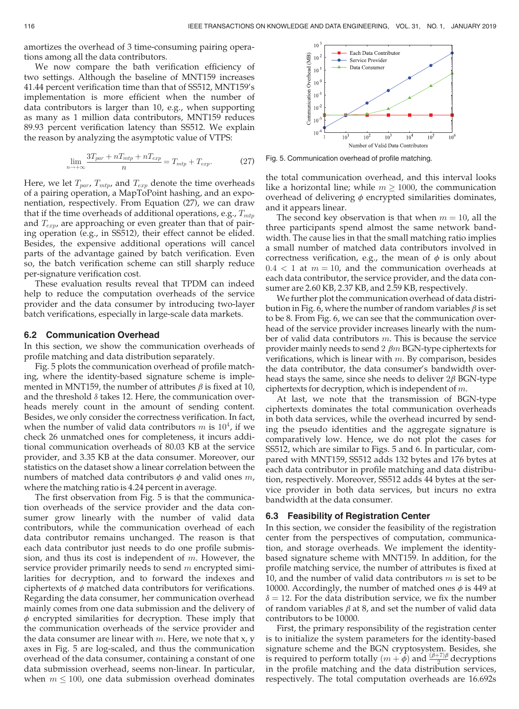amortizes the overhead of 3 time-consuming pairing operations among all the data contributors.

We now compare the bath verification efficiency of two settings. Although the baseline of MNT159 increases 41.44 percent verification time than that of SS512, MNT159's implementation is more efficient when the number of data contributors is larger than 10, e.g., when supporting as many as 1 million data contributors, MNT159 reduces 89.93 percent verification latency than SS512. We explain the reason by analyzing the asymptotic value of VTPS:

$$
\lim_{n \to +\infty} \frac{3T_{par} + nT_{mtp} + nT_{exp}}{n} = T_{mtp} + T_{exp}.
$$
 (27)

Here, we let  $T_{par}$ ,  $T_{mtp}$ , and  $T_{exp}$  denote the time overheads of a pairing operation, a MapToPoint hashing, and an exponentiation, respectively. From Equation (27), we can draw that if the time overheads of additional operations, e.g.,  $T_{\text{mtp}}$ and  $T_{\text{env}}$  are approaching or even greater than that of pairing operation (e.g., in SS512), their effect cannot be elided. Besides, the expensive additional operations will cancel parts of the advantage gained by batch verification. Even so, the batch verification scheme can still sharply reduce per-signature verification cost.

These evaluation results reveal that TPDM can indeed help to reduce the computation overheads of the service provider and the data consumer by introducing two-layer batch verifications, especially in large-scale data markets.

## 6.2 Communication Overhead

In this section, we show the communication overheads of profile matching and data distribution separately.

Fig. 5 plots the communication overhead of profile matching, where the identity-based signature scheme is implemented in MNT159, the number of attributes  $\beta$  is fixed at 10, and the threshold  $\delta$  takes 12. Here, the communication overheads merely count in the amount of sending content. Besides, we only consider the correctness verification. In fact, when the number of valid data contributors m is  $10<sup>4</sup>$ , if we check 26 unmatched ones for completeness, it incurs additional communication overheads of 80.03 KB at the service provider, and 3.35 KB at the data consumer. Moreover, our statistics on the dataset show a linear correlation between the numbers of matched data contributors  $\phi$  and valid ones m, where the matching ratio is 4.24 percent in average.

The first observation from Fig. 5 is that the communication overheads of the service provider and the data consumer grow linearly with the number of valid data contributors, while the communication overhead of each data contributor remains unchanged. The reason is that each data contributor just needs to do one profile submission, and thus its cost is independent of  $m$ . However, the service provider primarily needs to send  $m$  encrypted similarities for decryption, and to forward the indexes and ciphertexts of  $\phi$  matched data contributors for verifications. Regarding the data consumer, her communication overhead mainly comes from one data submission and the delivery of  $\phi$  encrypted similarities for decryption. These imply that the communication overheads of the service provider and the data consumer are linear with  $m$ . Here, we note that  $x$ ,  $y$ axes in Fig. 5 are log-scaled, and thus the communication overhead of the data consumer, containing a constant of one data submission overhead, seems non-linear. In particular, when  $m \leq 100$ , one data submission overhead dominates



Fig. 5. Communication overhead of profile matching.

the total communication overhead, and this interval looks like a horizontal line; while  $m \ge 1000$ , the communication overhead of delivering  $\phi$  encrypted similarities dominates, and it appears linear.

The second key observation is that when  $m = 10$ , all the three participants spend almost the same network bandwidth. The cause lies in that the small matching ratio implies a small number of matched data contributors involved in correctness verification, e.g., the mean of  $\phi$  is only about  $0.4 < 1$  at  $m = 10$ , and the communication overheads at each data contributor, the service provider, and the data consumer are 2.60 KB, 2.37 KB, and 2.59 KB, respectively.

We further plot the communication overhead of data distribution in Fig. 6, where the number of random variables  $\beta$  is set to be 8. From Fig. 6, we can see that the communication overhead of the service provider increases linearly with the number of valid data contributors  $m$ . This is because the service provider mainly needs to send 2  $\beta m$  BGN-type ciphertexts for verifications, which is linear with  $m$ . By comparison, besides the data contributor, the data consumer's bandwidth overhead stays the same, since she needs to deliver  $2\beta$  BGN-type ciphertexts for decryption, which is independent of  $m$ .

At last, we note that the transmission of BGN-type ciphertexts dominates the total communication overheads in both data services, while the overhead incurred by sending the pseudo identities and the aggregate signature is comparatively low. Hence, we do not plot the cases for SS512, which are similar to Figs. 5 and 6. In particular, compared with MNT159, SS512 adds 132 bytes and 176 bytes at each data contributor in profile matching and data distribution, respectively. Moreover, SS512 adds 44 bytes at the service provider in both data services, but incurs no extra bandwidth at the data consumer.

#### 6.3 Feasibility of Registration Center

In this section, we consider the feasibility of the registration center from the perspectives of computation, communication, and storage overheads. We implement the identitybased signature scheme with MNT159. In addition, for the profile matching service, the number of attributes is fixed at 10, and the number of valid data contributors  $m$  is set to be 10000. Accordingly, the number of matched ones  $\phi$  is 449 at  $\delta = 12$ . For the data distribution service, we fix the number of random variables  $\beta$  at 8, and set the number of valid data contributors to be 10000.

First, the primary responsibility of the registration center is to initialize the system parameters for the identity-based signature scheme and the BGN cryptosystem. Besides, she is required to perform totally  $(m + \phi)$  and  $\frac{(\bar{\beta} + \bar{\gamma})\bar{\beta}}{2}$  decryptions<br>in the profile matching and the data distribution services in the profile matching and the data distribution services, respectively. The total computation overheads are 16.692s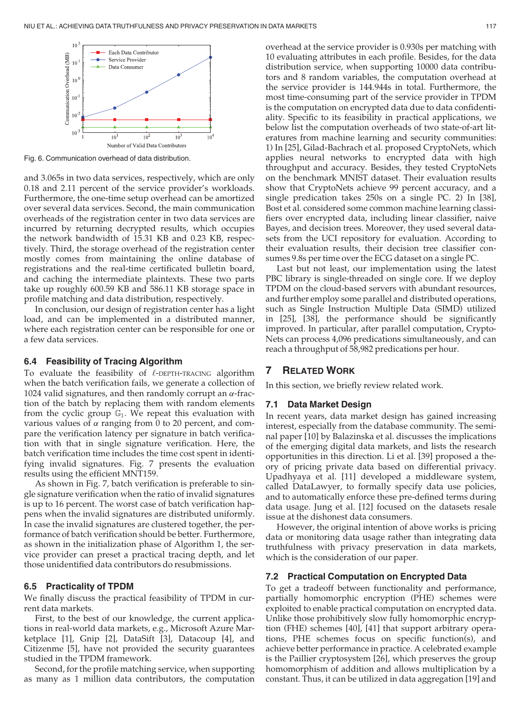

Fig. 6. Communication overhead of data distribution.

and 3.065s in two data services, respectively, which are only 0.18 and 2.11 percent of the service provider's workloads. Furthermore, the one-time setup overhead can be amortized over several data services. Second, the main communication overheads of the registration center in two data services are incurred by returning decrypted results, which occupies the network bandwidth of 15.31 KB and 0.23 KB, respectively. Third, the storage overhead of the registration center mostly comes from maintaining the online database of registrations and the real-time certificated bulletin board, and caching the intermediate plaintexts. These two parts take up roughly 600.59 KB and 586.11 KB storage space in profile matching and data distribution, respectively.

In conclusion, our design of registration center has a light load, and can be implemented in a distributed manner, where each registration center can be responsible for one or a few data services.

## 6.4 Feasibility of Tracing Algorithm

To evaluate the feasibility of  $\ell$ -DEPTH-TRACING algorithm when the batch verification fails, we generate a collection of 1024 valid signatures, and then randomly corrupt an  $\alpha$ -fraction of the batch by replacing them with random elements from the cyclic group  $\mathbb{G}_1$ . We repeat this evaluation with various values of  $\alpha$  ranging from 0 to 20 percent, and compare the verification latency per signature in batch verification with that in single signature verification. Here, the batch verification time includes the time cost spent in identifying invalid signatures. Fig. 7 presents the evaluation results using the efficient MNT159.

As shown in Fig. 7, batch verification is preferable to single signature verification when the ratio of invalid signatures is up to 16 percent. The worst case of batch verification happens when the invalid signatures are distributed uniformly. In case the invalid signatures are clustered together, the performance of batch verification should be better. Furthermore, as shown in the initialization phase of Algorithm 1, the service provider can preset a practical tracing depth, and let those unidentified data contributors do resubmissions.

## 6.5 Practicality of TPDM

We finally discuss the practical feasibility of TPDM in current data markets.

First, to the best of our knowledge, the current applications in real-world data markets, e.g., Microsoft Azure Marketplace [1], Gnip [2], DataSift [3], Datacoup [4], and Citizenme [5], have not provided the security guarantees studied in the TPDM framework.

Second, for the profile matching service, when supporting as many as 1 million data contributors, the computation overhead at the service provider is 0.930s per matching with 10 evaluating attributes in each profile. Besides, for the data distribution service, when supporting 10000 data contributors and 8 random variables, the computation overhead at the service provider is 144.944s in total. Furthermore, the most time-consuming part of the service provider in TPDM is the computation on encrypted data due to data confidentiality. Specific to its feasibility in practical applications, we below list the computation overheads of two state-of-art literatures from machine learning and security communities: 1) In [25], Gilad-Bachrach et al. proposed CryptoNets, which applies neural networks to encrypted data with high throughput and accuracy. Besides, they tested CryptoNets on the benchmark MNIST dataset. Their evaluation results show that CryptoNets achieve 99 percent accuracy, and a single predication takes 250s on a single PC. 2) In [38], Bost et al. considered some common machine learning classifiers over encrypted data, including linear classifier, naive Bayes, and decision trees. Moreover, they used several datasets from the UCI repository for evaluation. According to their evaluation results, their decision tree classifier consumes 9.8s per time over the ECG dataset on a single PC.

Last but not least, our implementation using the latest PBC library is single-threaded on single core. If we deploy TPDM on the cloud-based servers with abundant resources, and further employ some parallel and distributed operations, such as Single Instruction Multiple Data (SIMD) utilized in [25], [38], the performance should be significantly improved. In particular, after parallel computation, Crypto-Nets can process 4,096 predications simultaneously, and can reach a throughput of 58,982 predications per hour.

#### 7 RELATED WORK

In this section, we briefly review related work.

#### 7.1 Data Market Design

In recent years, data market design has gained increasing interest, especially from the database community. The seminal paper [10] by Balazinska et al. discusses the implications of the emerging digital data markets, and lists the research opportunities in this direction. Li et al. [39] proposed a theory of pricing private data based on differential privacy. Upadhyaya et al. [11] developed a middleware system, called DataLawyer, to formally specify data use policies, and to automatically enforce these pre-defined terms during data usage. Jung et al. [12] focused on the datasets resale issue at the dishonest data consumers.

However, the original intention of above works is pricing data or monitoring data usage rather than integrating data truthfulness with privacy preservation in data markets, which is the consideration of our paper.

## 7.2 Practical Computation on Encrypted Data

To get a tradeoff between functionality and performance, partially homomorphic encryption (PHE) schemes were exploited to enable practical computation on encrypted data. Unlike those prohibitively slow fully homomorphic encryption (FHE) schemes [40], [41] that support arbitrary operations, PHE schemes focus on specific function(s), and achieve better performance in practice. A celebrated example is the Paillier cryptosystem [26], which preserves the group homomorphism of addition and allows multiplication by a constant. Thus, it can be utilized in data aggregation [19] and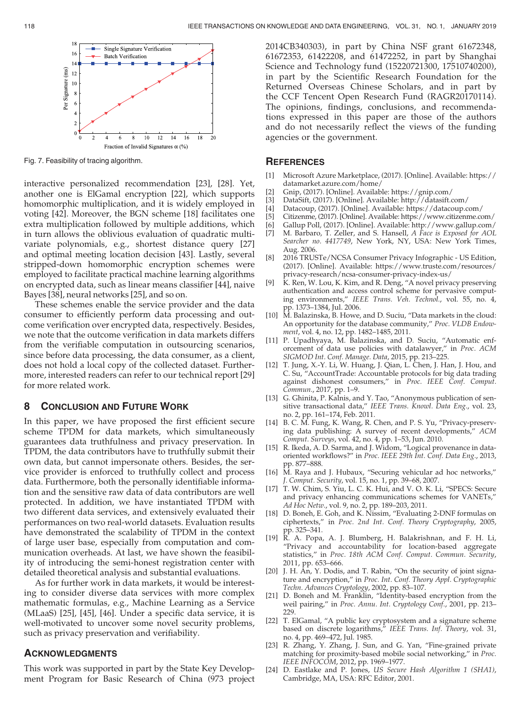

Fig. 7. Feasibility of tracing algorithm.

interactive personalized recommendation [23], [28]. Yet, another one is ElGamal encryption [22], which supports homomorphic multiplication, and it is widely employed in voting [42]. Moreover, the BGN scheme [18] facilitates one extra multiplication followed by multiple additions, which in turn allows the oblivious evaluation of quadratic multivariate polynomials, e.g., shortest distance query [27] and optimal meeting location decision [43]. Lastly, several stripped-down homomorphic encryption schemes were employed to facilitate practical machine learning algorithms on encrypted data, such as linear means classifier [44], naive Bayes [38], neural networks [25], and so on.

These schemes enable the service provider and the data consumer to efficiently perform data processing and outcome verification over encrypted data, respectively. Besides, we note that the outcome verification in data markets differs from the verifiable computation in outsourcing scenarios, since before data processing, the data consumer, as a client, does not hold a local copy of the collected dataset. Furthermore, interested readers can refer to our technical report [29] for more related work.

## 8 CONCLUSION AND FUTURE WORK

In this paper, we have proposed the first efficient secure scheme TPDM for data markets, which simultaneously guarantees data truthfulness and privacy preservation. In TPDM, the data contributors have to truthfully submit their own data, but cannot impersonate others. Besides, the service provider is enforced to truthfully collect and process data. Furthermore, both the personally identifiable information and the sensitive raw data of data contributors are well protected. In addition, we have instantiated TPDM with two different data services, and extensively evaluated their performances on two real-world datasets. Evaluation results have demonstrated the scalability of TPDM in the context of large user base, especially from computation and communication overheads. At last, we have shown the feasibility of introducing the semi-honest registration center with detailed theoretical analysis and substantial evaluations.

As for further work in data markets, it would be interesting to consider diverse data services with more complex mathematic formulas, e.g., Machine Learning as a Service (MLaaS) [25], [45], [46]. Under a specific data service, it is well-motivated to uncover some novel security problems, such as privacy preservation and verifiability.

## ACKNOWLEDGMENTS

This work was supported in part by the State Key Development Program for Basic Research of China (973 project 2014CB340303), in part by China NSF grant 61672348, 61672353, 61422208, and 61472252, in part by Shanghai Science and Technology fund (15220721300, 17510740200), in part by the Scientific Research Foundation for the Returned Overseas Chinese Scholars, and in part by the CCF Tencent Open Research Fund (RAGR20170114). The opinions, findings, conclusions, and recommendations expressed in this paper are those of the authors and do not necessarily reflect the views of the funding agencies or the government.

## **REFERENCES**

- [1] Microsoft Azure Marketplace, (2017). [Online]. Available: [https://](https://datamarket.azure.com/home/) [datamarket.azure.com/home/](https://datamarket.azure.com/home/)
- [2] Gnip, (2017). [Online]. Available:<https://gnip.com/>
- [3] DataSift, (2017). [Online]. Available:<http://datasift.com/>
- [4] Datacoup, (2017). [Online]. Available:<https://datacoup.com/>
- [5] Citizenme, (2017). [Online]. Available:<https://www.citizenme.com/>
- [6] Gallup Poll, (2017). [Online]. Available:<http://www.gallup.com/>
- [7] M. Barbaro, T. Zeller, and S. Hansell, A Face is Exposed for AOL Searcher no. 4417749, New York, NY, USA: New York Times, Aug. 2006.
- [8] 2016 TRUSTe/NCSA Consumer Privacy Infographic US Edition, (2017). [Online]. Available: [https://www.truste.com/resources/](https://www.truste.com/resources/privacy-research/ncsa-consumer-privacy-index-us/) [privacy-research/ncsa-consumer-privacy-index-us/](https://www.truste.com/resources/privacy-research/ncsa-consumer-privacy-index-us/)
- [9] K. Ren, W. Lou, K. Kim, and R. Deng, "A novel privacy preserving authentication and access control scheme for pervasive computing environments," IEEE Trans. Veh. Technol., vol. 55, no. 4, pp. 1373–1384, Jul. 2006.
- [10]  $\tilde{M}$ . Balazinska, B. Howe, and D. Suciu, "Data markets in the cloud: An opportunity for the database community," Proc. VLDB Endowment, vol. 4, no. 12, pp. 1482–1485, 2011.
- [11] P. Upadhyaya, M. Balazinska, and D. Suciu, "Automatic enforcement of data use policies with datalawyer," in Proc. ACM SIGMOD Int. Conf. Manage. Data, 2015, pp. 213–225.
- [12] T. Jung, X.-Y. Li, W. Huang, J. Qian, L. Chen, J. Han, J. Hou, and C. Su, "AccountTrade: Accountable protocols for big data trading against dishonest consumers," in Proc. IEEE Conf. Comput. Commun., 2017, pp. 1–9.
- [13] G. Ghinita, P. Kalnis, and Y. Tao, "Anonymous publication of sensitive transactional data," IEEE Trans. Knowl. Data Eng., vol. 23, no. 2, pp. 161–174, Feb. 2011.
- [14] B. C. M. Fung, K. Wang, R. Chen, and P. S. Yu, "Privacy-preserving data publishing: A survey of recent developments," ACM Comput. Surveys, vol. 42, no. 4, pp. 1–53, Jun. 2010.
- [15] R. Ikeda, A. D. Sarma, and J. Widom, "Logical provenance in dataoriented workflows?" in Proc. IEEE 29th Int. Conf. Data Eng., 2013, pp. 877–888.
- [16] M. Raya and J. Hubaux, "Securing vehicular ad hoc networks," J. Comput. Security, vol. 15, no. 1, pp. 39–68, 2007.
- [17] T. W. Chim, S. Yiu, L. C. K. Hui, and V. O. K. Li, "SPECS: Secure and privacy enhancing communications schemes for VANETs," Ad Hoc Netw., vol. 9, no. 2, pp. 189–203, 2011.
- [18] D. Boneh, E. Goh, and K. Nissim, "Evaluating 2-DNF formulas on ciphertexts," in Proc. 2nd Int. Conf. Theory Cryptography, 2005, pp. 325–341.
- [19] R. A. Popa, A. J. Blumberg, H. Balakrishnan, and F. H. Li, "Privacy and accountability for location-based aggregate statistics," in Proc. 18th ACM Conf. Comput. Commun. Security, 2011, pp. 653–666.
- [20] J. H. An, Y. Dodis, and T. Rabin, "On the security of joint signature and encryption," in Proc. Int. Conf. Theory Appl. Cryptographic Techn. Advances Cryptology, 2002, pp. 83–107.
- [21] D. Boneh and M. Franklin, "Identity-based encryption from the weil pairing," in Proc. Annu. Int. Cryptology Conf., 2001, pp. 213– 229.
- [22] T. ElGamal, "A public key cryptosystem and a signature scheme based on discrete logarithms," IEEE Trans. Inf. Theory, vol. 31, no. 4, pp. 469–472, Jul. 1985.
- [23] R. Zhang, Y. Zhang, J. Sun, and G. Yan, "Fine-grained private matching for proximity-based mobile social networking," in Proc. IEEE INFOCOM, 2012, pp. 1969–1977.
- [24] D. Eastlake and P. Jones, US Secure Hash Algorithm 1 (SHA1), Cambridge, MA, USA: RFC Editor, 2001.